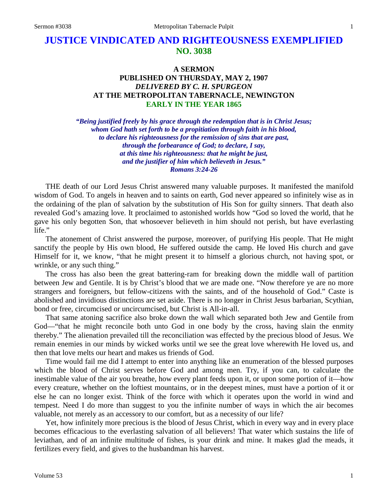# **JUSTICE VINDICATED AND RIGHTEOUSNESS EXEMPLIFIED NO. 3038**

# **A SERMON PUBLISHED ON THURSDAY, MAY 2, 1907** *DELIVERED BY C. H. SPURGEON* **AT THE METROPOLITAN TABERNACLE, NEWINGTON EARLY IN THE YEAR 1865**

*"Being justified freely by his grace through the redemption that is in Christ Jesus; whom God hath set forth to be a propitiation through faith in his blood, to declare his righteousness for the remission of sins that are past, through the forbearance of God; to declare, I say, at this time his righteousness: that he might be just, and the justifier of him which believeth in Jesus." Romans 3:24-26*

THE death of our Lord Jesus Christ answered many valuable purposes. It manifested the manifold wisdom of God. To angels in heaven and to saints on earth, God never appeared so infinitely wise as in the ordaining of the plan of salvation by the substitution of His Son for guilty sinners. That death also revealed God's amazing love. It proclaimed to astonished worlds how "God so loved the world, that he gave his only begotten Son, that whosoever believeth in him should not perish, but have everlasting life."

The atonement of Christ answered the purpose, moreover, of purifying His people. That He might sanctify the people by His own blood, He suffered outside the camp. He loved His church and gave Himself for it, we know, "that he might present it to himself a glorious church, not having spot, or wrinkle, or any such thing."

The cross has also been the great battering-ram for breaking down the middle wall of partition between Jew and Gentile. It is by Christ's blood that we are made one. "Now therefore ye are no more strangers and foreigners, but fellow-citizens with the saints, and of the household of God." Caste is abolished and invidious distinctions are set aside. There is no longer in Christ Jesus barbarian, Scythian, bond or free, circumcised or uncircumcised, but Christ is All-in-all.

That same atoning sacrifice also broke down the wall which separated both Jew and Gentile from God—"that he might reconcile both unto God in one body by the cross, having slain the enmity thereby." The alienation prevailed till the reconciliation was effected by the precious blood of Jesus. We remain enemies in our minds by wicked works until we see the great love wherewith He loved us, and then that love melts our heart and makes us friends of God.

Time would fail me did I attempt to enter into anything like an enumeration of the blessed purposes which the blood of Christ serves before God and among men. Try, if you can, to calculate the inestimable value of the air you breathe, how every plant feeds upon it, or upon some portion of it—how every creature, whether on the loftiest mountains, or in the deepest mines, must have a portion of it or else he can no longer exist. Think of the force with which it operates upon the world in wind and tempest. Need I do more than suggest to you the infinite number of ways in which the air becomes valuable, not merely as an accessory to our comfort, but as a necessity of our life?

Yet, how infinitely more precious is the blood of Jesus Christ, which in every way and in every place becomes efficacious to the everlasting salvation of all believers! That water which sustains the life of leviathan, and of an infinite multitude of fishes, is your drink and mine. It makes glad the meads, it fertilizes every field, and gives to the husbandman his harvest.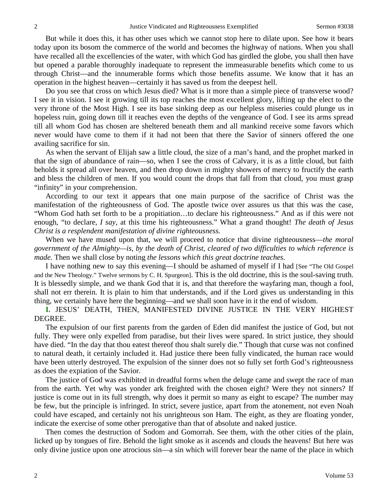But while it does this, it has other uses which we cannot stop here to dilate upon. See how it bears today upon its bosom the commerce of the world and becomes the highway of nations. When you shall have recalled all the excellencies of the water, with which God has girdled the globe, you shall then have but opened a parable thoroughly inadequate to represent the immeasurable benefits which come to us through Christ—and the innumerable forms which those benefits assume. We know that it has an operation in the highest heaven—certainly it has saved us from the deepest hell.

Do you see that cross on which Jesus died? What is it more than a simple piece of transverse wood? I see it in vision. I see it growing till its top reaches the most excellent glory, lifting up the elect to the very throne of the Most High. I see its base sinking deep as our helpless miseries could plunge us in hopeless ruin, going down till it reaches even the depths of the vengeance of God. I see its arms spread till all whom God has chosen are sheltered beneath them and all mankind receive some favors which never would have come to them if it had not been that there the Savior of sinners offered the one availing sacrifice for sin.

As when the servant of Elijah saw a little cloud, the size of a man's hand, and the prophet marked in that the sign of abundance of rain—so, when I see the cross of Calvary, it is as a little cloud, but faith beholds it spread all over heaven, and then drop down in mighty showers of mercy to fructify the earth and bless the children of men. If you would count the drops that fall from that cloud, you must grasp "infinity" in your comprehension.

According to our text it appears that one main purpose of the sacrifice of Christ was the manifestation of the righteousness of God. The apostle twice over assures us that this was the case, "Whom God hath set forth to be a propitiation…to declare his righteousness." And as if this were not enough, "to declare, *I say,* at this time his righteousness." What a grand thought! *The death of Jesus Christ is a resplendent manifestation of divine righteousness.*

When we have mused upon that, we will proceed to notice that divine righteousness—*the moral government of the Almighty—is, by the death of Christ, cleared of two difficulties to which reference is made.* Then we shall close by noting *the lessons which this great doctrine teaches.* 

I have nothing new to say this evening—I should be ashamed of myself if I had [See "The Old Gospel and the New Theology." Twelve sermons by C. H. Spurgeon]. This is the old doctrine, this is the soul-saving truth. It is blessedly simple, and we thank God that it is, and that therefore the wayfaring man, though a fool, shall not err therein. It is plain to him that understands, and if the Lord gives us understanding in this thing, we certainly have here the beginning—and we shall soon have in it the end of wisdom.

**I.** JESUS' DEATH, THEN, MANIFESTED DIVINE JUSTICE IN THE VERY HIGHEST DEGREE.

The expulsion of our first parents from the garden of Eden did manifest the justice of God, but not fully. They were only expelled from paradise, but their lives were spared. In strict justice, they should have died. "In the day that thou eatest thereof thou shalt surely die." Though that curse was not confined to natural death, it certainly included it. Had justice there been fully vindicated, the human race would have been utterly destroyed. The expulsion of the sinner does not so fully set forth God's righteousness as does the expiation of the Savior.

The justice of God was exhibited in dreadful forms when the deluge came and swept the race of man from the earth. Yet why was yonder ark freighted with the chosen eight? Were they not sinners? If justice is come out in its full strength, why does it permit so many as eight to escape? The number may be few, but the principle is infringed. In strict, severe justice, apart from the atonement, not even Noah could have escaped, and certainly not his unrighteous son Ham. The eight, as they are floating yonder, indicate the exercise of some other prerogative than that of absolute and naked justice.

Then comes the destruction of Sodom and Gomorrah. See them, with the other cities of the plain, licked up by tongues of fire. Behold the light smoke as it ascends and clouds the heavens! But here was only divine justice upon one atrocious sin—a sin which will forever bear the name of the place in which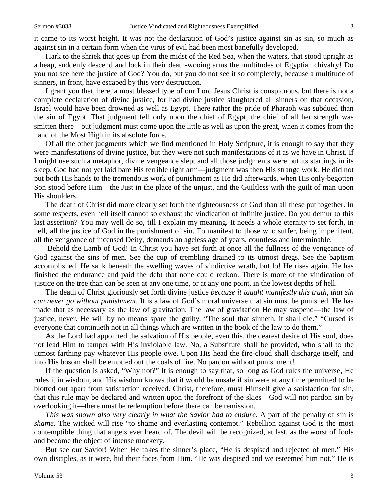it came to its worst height. It was not the declaration of God's justice against sin as sin, so much as against sin in a certain form when the virus of evil had been most banefully developed.

Hark to the shriek that goes up from the midst of the Red Sea, when the waters, that stood upright as a heap, suddenly descend and lock in their death-wooing arms the multitudes of Egyptian chivalry! Do you not see here the justice of God? You do, but you do not see it so completely, because a multitude of sinners, in front, have escaped by this very destruction.

I grant you that, here, a most blessed type of our Lord Jesus Christ is conspicuous, but there is not a complete declaration of divine justice, for had divine justice slaughtered all sinners on that occasion, Israel would have been drowned as well as Egypt. There rather the pride of Pharaoh was subdued than the sin of Egypt. That judgment fell only upon the chief of Egypt, the chief of all her strength was smitten there—but judgment must come upon the little as well as upon the great, when it comes from the hand of the Most High in its absolute force.

Of all the other judgments which we find mentioned in Holy Scripture, it is enough to say that they were manifestations of divine justice, but they were not such manifestations of it as we have in Christ. If I might use such a metaphor, divine vengeance slept and all those judgments were but its startings in its sleep. God had not yet laid bare His terrible right arm—judgment was then His strange work. He did not put both His hands to the tremendous work of punishment as He did afterwards, when His only-begotten Son stood before Him—the Just in the place of the unjust, and the Guiltless with the guilt of man upon His shoulders.

The death of Christ did more clearly set forth the righteousness of God than all these put together. In some respects, even hell itself cannot so exhaust the vindication of infinite justice. Do you demur to this last assertion? You may well do so, till I explain my meaning. It needs a whole eternity to set forth, in hell, all the justice of God in the punishment of sin. To manifest to those who suffer, being impenitent, all the vengeance of incensed Deity, demands an ageless age of years, countless and interminable.

Behold the Lamb of God! In Christ you have set forth at once all the fullness of the vengeance of God against the sins of men. See the cup of trembling drained to its utmost dregs. See the baptism accomplished. He sank beneath the swelling waves of vindictive wrath, but lo! He rises again. He has finished the endurance and paid the debt that none could reckon. There is more of the vindication of justice on the tree than can be seen at any one time, or at any one point, in the lowest depths of hell.

The death of Christ gloriously set forth divine justice *because it taught manifestly this truth, that sin can never go without punishment.* It is a law of God's moral universe that sin must be punished. He has made that as necessary as the law of gravitation. The law of gravitation He may suspend—the law of justice, never. He will by no means spare the guilty. "The soul that sinneth, it shall die." "Cursed is everyone that continueth not in all things which are written in the book of the law to do them."

As the Lord had appointed the salvation of His people, even this, the dearest desire of His soul, does not lead Him to tamper with His inviolable law. No, a Substitute shall be provided, who shall to the utmost farthing pay whatever His people owe. Upon His head the fire-cloud shall discharge itself, and into His bosom shall be emptied out the coals of fire. No pardon without punishment!

If the question is asked, "Why not?" It is enough to say that, so long as God rules the universe, He rules it in wisdom, and His wisdom knows that it would be unsafe if sin were at any time permitted to be blotted out apart from satisfaction received. Christ, therefore, must Himself give a satisfaction for sin, that this rule may be declared and written upon the forefront of the skies—God will not pardon sin by overlooking it—there must be redemption before there can be remission.

*This was shown also very clearly in what the Savior had to endure.* A part of the penalty of sin is *shame.* The wicked will rise "to shame and everlasting contempt." Rebellion against God is the most contemptible thing that angels ever heard of. The devil will be recognized, at last, as the worst of fools and become the object of intense mockery.

But see our Savior! When He takes the sinner's place, "He is despised and rejected of men." His own disciples, as it were, hid their faces from Him. "He was despised and we esteemed him not." He is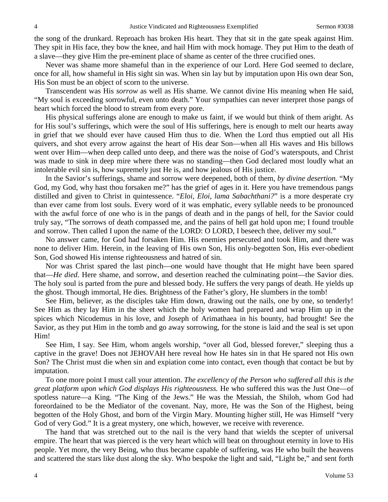the song of the drunkard. Reproach has broken His heart. They that sit in the gate speak against Him. They spit in His face, they bow the knee, and hail Him with mock homage. They put Him to the death of a slave—they give Him the pre-eminent place of shame as center of the three crucified ones.

Never was shame more shameful than in the experience of our Lord. Here God seemed to declare, once for all, how shameful in His sight sin was. When sin lay but by imputation upon His own dear Son, His Son must be an object of scorn to the universe.

Transcendent was His *sorrow* as well as His shame. We cannot divine His meaning when He said, "My soul is exceeding sorrowful, even unto death." Your sympathies can never interpret those pangs of heart which forced the blood to stream from every pore.

His physical sufferings alone are enough to make us faint, if we would but think of them aright. As for His soul's sufferings, which were the soul of His sufferings, here is enough to melt our hearts away in grief that we should ever have caused Him thus to die. When the Lord thus emptied out all His quivers, and shot every arrow against the heart of His dear Son—when all His waves and His billows went over Him—when deep called unto deep, and there was the noise of God's waterspouts, and Christ was made to sink in deep mire where there was no standing—then God declared most loudly what an intolerable evil sin is, how supremely just He is, and how jealous of His justice.

In the Savior's sufferings, shame and sorrow were deepened, both of them, *by divine desertion.* "My God, my God, why hast thou forsaken me?" has the grief of ages in it. Here you have tremendous pangs distilled and given to Christ in quintessence. "*Eloi, Eloi, lama Sabachthani?*" is a more desperate cry than ever came from lost souls. Every word of it was emphatic, every syllable needs to be pronounced with the awful force of one who is in the pangs of death and in the pangs of hell, for the Savior could truly say, "The sorrows of death compassed me, and the pains of hell gat hold upon me; I found trouble and sorrow. Then called I upon the name of the LORD: O LORD, I beseech thee, deliver my soul."

No answer came, for God had forsaken Him. His enemies persecuted and took Him, and there was none to deliver Him. Herein, in the leaving of His own Son, His only-begotten Son, His ever-obedient Son, God showed His intense righteousness and hatred of sin.

Nor was Christ spared the last pinch—one would have thought that He might have been spared that—*He died.* Here shame, and sorrow, and desertion reached the culminating point—the Savior dies. The holy soul is parted from the pure and blessed body. He suffers the very pangs of death. He yields up the ghost. Though immortal, He dies. Brightness of the Father's glory, He slumbers in the tomb!

See Him, believer, as the disciples take Him down, drawing out the nails, one by one, so tenderly! See Him as they lay Him in the sheet which the holy women had prepared and wrap Him up in the spices which Nicodemus in his love, and Joseph of Arimathaea in his bounty, had brought! See the Savior, as they put Him in the tomb and go away sorrowing, for the stone is laid and the seal is set upon Him!

See Him, I say. See Him, whom angels worship, "over all God, blessed forever," sleeping thus a captive in the grave! Does not JEHOVAH here reveal how He hates sin in that He spared not His own Son? The Christ must die when sin and expiation come into contact, even though that contact be but by imputation.

To one more point I must call your attention. *The excellency of the Person who suffered all this is the great platform upon which God displays His righteousness.* He who suffered this was the Just One—of spotless nature—a King. "The King of the Jews." He was the Messiah, the Shiloh, whom God had foreordained to be the Mediator of the covenant. Nay, more, He was the Son of the Highest, being begotten of the Holy Ghost, and born of the Virgin Mary. Mounting higher still, He was Himself "very God of very God." It is a great mystery, one which, however, we receive with reverence.

The hand that was stretched out to the nail is the very hand that wields the scepter of universal empire. The heart that was pierced is the very heart which will beat on throughout eternity in love to His people. Yet more, the very Being, who thus became capable of suffering, was He who built the heavens and scattered the stars like dust along the sky. Who bespoke the light and said, "Light be," and sent forth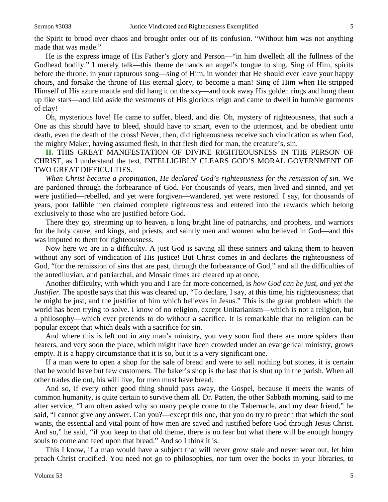the Spirit to brood over chaos and brought order out of its confusion. "Without him was not anything made that was made."

He is the express image of His Father's glory and Person—"in him dwelleth all the fullness of the Godhead bodily." I merely talk—this theme demands an angel's tongue to sing. Sing of Him, spirits before the throne, in your rapturous song—sing of Him, in wonder that He should ever leave your happy choirs, and forsake the throne of His eternal glory, to become a man! Sing of Him when He stripped Himself of His azure mantle and did hang it on the sky—and took away His golden rings and hung them up like stars—and laid aside the vestments of His glorious reign and came to dwell in humble garments of clay!

Oh, mysterious love! He came to suffer, bleed, and die. Oh, mystery of righteousness, that such a One as this should have to bleed, should have to smart, even to the uttermost, and be obedient unto death, even the death of the cross! Never, then, did righteousness receive such vindication as when God, the mighty Maker, having assumed flesh, in that flesh died for man, the creature's, sin.

**II.** THIS GREAT MANIFESTATION OF DIVINE RIGHTEOUSNESS IN THE PERSON OF CHRIST, as I understand the text, INTELLIGIBLY CLEARS GOD'S MORAL GOVERNMENT OF TWO GREAT DIFFICULTIES.

*When Christ became a propitiation, He declared God's righteousness for the remission of sin.* We are pardoned through the forbearance of God. For thousands of years, men lived and sinned, and yet were justified—rebelled, and yet were forgiven—wandered, yet were restored. I say, for thousands of years, poor fallible men claimed complete righteousness and entered into the rewards which belong exclusively to those who are justified before God.

There they go, streaming up to heaven, a long bright line of patriarchs, and prophets, and warriors for the holy cause, and kings, and priests, and saintly men and women who believed in God—and this was imputed to them for righteousness.

Now here we are in a difficulty. A just God is saving all these sinners and taking them to heaven without any sort of vindication of His justice! But Christ comes in and declares the righteousness of God, "for the remission of sins that are past, through the forbearance of God," and all the difficulties of the antediluvian, and patriarchal, and Mosaic times are cleared up at once.

Another difficulty, with which you and I are far more concerned, is *how God can be just, and yet the Justifier*. The apostle says that this was cleared up, "To declare, I say, at this time, his righteousness; that he might be just, and the justifier of him which believes in Jesus." This is the great problem which the world has been trying to solve. I know of no religion, except Unitarianism—which is not a religion, but a philosophy—which ever pretends to do without a sacrifice. It is remarkable that no religion can be popular except that which deals with a sacrifice for sin.

And where this is left out in any man's ministry, you very soon find there are more spiders than hearers, and very soon the place, which might have been crowded under an evangelical ministry, grows empty. It is a happy circumstance that it is so, but it is a very significant one.

If a man were to open a shop for the sale of bread and were to sell nothing but stones, it is certain that he would have but few customers. The baker's shop is the last that is shut up in the parish. When all other trades die out, his will live, for men must have bread.

And so, if every other good thing should pass away, the Gospel, because it meets the wants of common humanity, is quite certain to survive them all. Dr. Patten, the other Sabbath morning, said to me after service, "I am often asked why so many people come to the Tabernacle, and my dear friend," he said, "I cannot give any answer. Can you?—except this one, that you do try to preach that which the soul wants, the essential and vital point of how men are saved and justified before God through Jesus Christ. And so," he said, "if you keep to that old theme, there is no fear but what there will be enough hungry souls to come and feed upon that bread." And so I think it is.

This I know, if a man would have a subject that will never grow stale and never wear out, let him preach Christ crucified. You need not go to philosophies, nor turn over the books in your libraries, to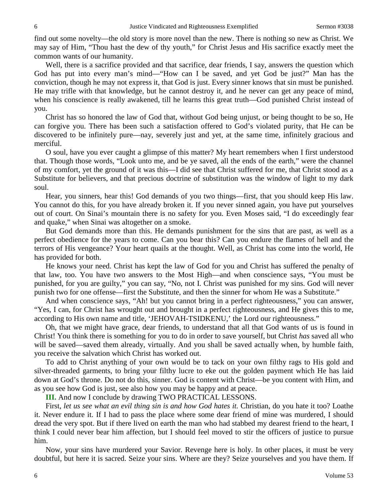find out some novelty—the old story is more novel than the new. There is nothing so new as Christ. We may say of Him, "Thou hast the dew of thy youth," for Christ Jesus and His sacrifice exactly meet the common wants of our humanity.

Well, there is a sacrifice provided and that sacrifice, dear friends, I say, answers the question which God has put into every man's mind—"How can I be saved, and yet God be just?" Man has the conviction, though he may not express it, that God is just. Every sinner knows that sin must be punished. He may trifle with that knowledge, but he cannot destroy it, and he never can get any peace of mind, when his conscience is really awakened, till he learns this great truth—God punished Christ instead of you.

Christ has so honored the law of God that, without God being unjust, or being thought to be so, He can forgive you. There has been such a satisfaction offered to God's violated purity, that He can be discovered to be infinitely pure—nay, severely just and yet, at the same time, infinitely gracious and merciful.

O soul, have you ever caught a glimpse of this matter? My heart remembers when I first understood that. Though those words, "Look unto me, and be ye saved, all the ends of the earth," were the channel of my comfort, yet the ground of it was this—I did see that Christ suffered for me, that Christ stood as a Substitute for believers, and that precious doctrine of substitution was the window of light to my dark soul.

Hear, you sinners, hear this! God demands of you two things—first, that you should keep His law. You cannot do this, for you have already broken it. If you never sinned again, you have put yourselves out of court. On Sinai's mountain there is no safety for you. Even Moses said, "I do exceedingly fear and quake," when Sinai was altogether on a smoke.

But God demands more than this. He demands punishment for the sins that are past, as well as a perfect obedience for the years to come. Can you bear this? Can you endure the flames of hell and the terrors of His vengeance? Your heart quails at the thought. Well, as Christ has come into the world, He has provided for both.

He knows your need. Christ has kept the law of God for you and Christ has suffered the penalty of that law, too. You have two answers to the Most High—and when conscience says, "You must be punished, for you are guilty," you can say, "No, not I. Christ was punished for my sins. God will never punish two for one offense—first the Substitute, and then the sinner for whom He was a Substitute."

And when conscience says, "Ah! but you cannot bring in a perfect righteousness," you can answer, "Yes, I can, for Christ has wrought out and brought in a perfect righteousness, and He gives this to me, according to His own name and title, 'JEHOVAH-TSIDKENU,' the Lord our righteousness."

Oh, that we might have grace, dear friends, to understand that all that God wants of us is found in Christ! You think there is something for you to do in order to save yourself, but Christ *has* saved all who will be saved—saved them already, virtually. And you shall be saved actually when, by humble faith, you receive the salvation which Christ has worked out.

To add to Christ anything of your own would be to tack on your own filthy rags to His gold and silver-threaded garments, to bring your filthy lucre to eke out the golden payment which He has laid down at God's throne. Do not do this, sinner. God is content with Christ—be you content with Him, and as you see how God is just, see also how you may be happy and at peace.

**III.** And now I conclude by drawing TWO PRACTICAL LESSONS.

First, let us see what an evil thing sin is and how God hates it. Christian, do you hate it too? Loathe it. Never endure it. If I had to pass the place where some dear friend of mine was murdered, I should dread the very spot. But if there lived on earth the man who had stabbed my dearest friend to the heart, I think I could never bear him affection, but I should feel moved to stir the officers of justice to pursue him.

Now, your sins have murdered your Savior. Revenge here is holy. In other places, it must be very doubtful, but here it is sacred. Seize your sins. Where are they? Seize yourselves and you have them. If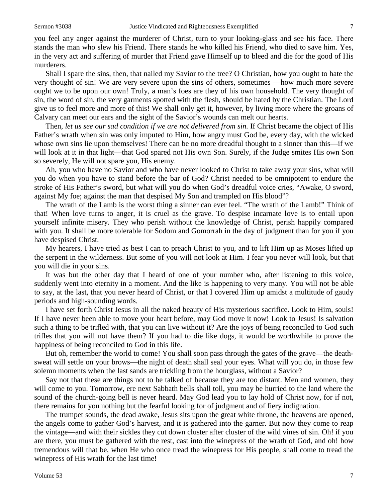you feel any anger against the murderer of Christ, turn to your looking-glass and see his face. There stands the man who slew his Friend. There stands he who killed his Friend, who died to save him. Yes, in the very act and suffering of murder that Friend gave Himself up to bleed and die for the good of His murderers.

Shall I spare the sins, then, that nailed my Savior to the tree? O Christian, how you ought to hate the very thought of sin! We are very severe upon the sins of others, sometimes —how much more severe ought we to be upon our own! Truly, a man's foes are they of his own household. The very thought of sin, the word of sin, the very garments spotted with the flesh, should be hated by the Christian. The Lord give us to feel more and more of this! We shall only get it, however, by living more where the groans of Calvary can meet our ears and the sight of the Savior's wounds can melt our hearts.

Then, *let us see our sad condition if we are not delivered from sin.* If Christ became the object of His Father's wrath when sin was only imputed to Him, how angry must God be, every day, with the wicked whose own sins lie upon themselves! There can be no more dreadful thought to a sinner than this—if we will look at it in that light—that God spared not His own Son. Surely, if the Judge smites His own Son so severely, He will not spare you, His enemy.

Ah, you who have no Savior and who have never looked to Christ to take away your sins, what will you do when you have to stand before the bar of God? Christ needed to be omnipotent to endure the stroke of His Father's sword, but what will you do when God's dreadful voice cries, "Awake, O sword, against My foe; against the man that despised My Son and trampled on His blood"?

The wrath of the Lamb is the worst thing a sinner can ever feel. "The wrath of the Lamb!" Think of that! When love turns to anger, it is cruel as the grave. To despise incarnate love is to entail upon yourself infinite misery. They who perish without the knowledge of Christ, perish happily compared with you. It shall be more tolerable for Sodom and Gomorrah in the day of judgment than for you if you have despised Christ.

My hearers, I have tried as best I can to preach Christ to you, and to lift Him up as Moses lifted up the serpent in the wilderness. But some of you will not look at Him. I fear you never will look, but that you will die in your sins.

It was but the other day that I heard of one of your number who, after listening to this voice, suddenly went into eternity in a moment. And the like is happening to very many. You will not be able to say, at the last, that you never heard of Christ, or that I covered Him up amidst a multitude of gaudy periods and high-sounding words.

I have set forth Christ Jesus in all the naked beauty of His mysterious sacrifice. Look to Him, souls! If I have never been able to move your heart before, may God move it now! Look to Jesus! Is salvation such a thing to be trifled with, that you can live without it? Are the joys of being reconciled to God such trifles that you will not have them? If you had to die like dogs, it would be worthwhile to prove the happiness of being reconciled to God in this life.

But oh, remember the world to come! You shall soon pass through the gates of the grave—the deathsweat will settle on your brows—the night of death shall seal your eyes. What will you do, in those few solemn moments when the last sands are trickling from the hourglass, without a Savior?

Say not that these are things not to be talked of because they are too distant. Men and women, they will come to you. Tomorrow, ere next Sabbath bells shall toll, you may be hurried to the land where the sound of the church-going bell is never heard. May God lead you to lay hold of Christ now, for if not, there remains for you nothing but the fearful looking for of judgment and of fiery indignation.

The trumpet sounds, the dead awake, Jesus sits upon the great white throne, the heavens are opened, the angels come to gather God's harvest, and it is gathered into the garner. But now they come to reap the vintage—and with their sickles they cut down cluster after cluster of the wild vines of sin. Oh! if you are there, you must be gathered with the rest, cast into the winepress of the wrath of God, and oh! how tremendous will that be, when He who once tread the winepress for His people, shall come to tread the winepress of His wrath for the last time!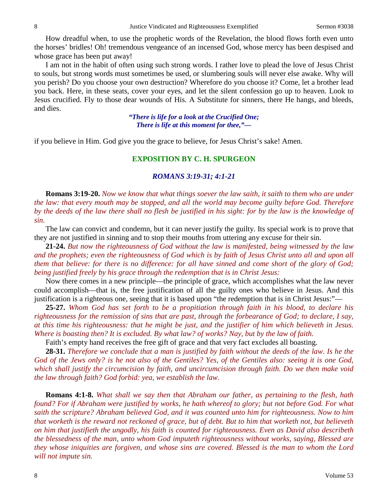How dreadful when, to use the prophetic words of the Revelation, the blood flows forth even unto the horses' bridles! Oh! tremendous vengeance of an incensed God, whose mercy has been despised and whose grace has been put away!

I am not in the habit of often using such strong words. I rather love to plead the love of Jesus Christ to souls, but strong words must sometimes be used, or slumbering souls will never else awake. Why will you perish? Do you choose your own destruction? Wherefore do you choose it? Come, let a brother lead you back. Here, in these seats, cover your eyes, and let the silent confession go up to heaven. Look to Jesus crucified. Fly to those dear wounds of His. A Substitute for sinners, there He hangs, and bleeds, and dies.

> *"There is life for a look at the Crucified One; There is life at this moment for thee,"—*

if you believe in Him. God give you the grace to believe, for Jesus Christ's sake! Amen.

### **EXPOSITION BY C. H. SPURGEON**

## *ROMANS 3:19-31; 4:1-21*

**Romans 3:19-20.** *Now we know that what things soever the law saith, it saith to them who are under the law: that every mouth may be stopped, and all the world may become guilty before God. Therefore by the deeds of the law there shall no flesh be justified in his sight: for by the law is the knowledge of sin.* 

The law can convict and condemn, but it can never justify the guilty. Its special work is to prove that they are not justified in sinning and to stop their mouths from uttering any excuse for their sin.

**21-24.** *But now the righteousness of God without the law is manifested, being witnessed by the law and the prophets; even the righteousness of God which is by faith of Jesus Christ unto all and upon all them that believe: for there is no difference: for all have sinned and come short of the glory of God; being justified freely by his grace through the redemption that is in Christ Jesus:*

Now there comes in a new principle—the principle of grace, which accomplishes what the law never could accomplish—that is, the free justification of all the guilty ones who believe in Jesus. And this justification is a righteous one, seeing that it is based upon "the redemption that is in Christ Jesus:"—

**25-27.** *Whom God has set forth to be a propitiation through faith in his blood, to declare his righteousness for the remission of sins that are past, through the forbearance of God; to declare, I say, at this time his righteousness: that he might be just, and the justifier of him which believeth in Jesus. Where is boasting then? It is excluded. By what law? of works? Nay, but by the law of faith.* 

Faith's empty hand receives the free gift of grace and that very fact excludes all boasting.

**28-31.** *Therefore we conclude that a man is justified by faith without the deeds of the law. Is he the God of the Jews only? is he not also of the Gentiles? Yes, of the Gentiles also: seeing it is one God, which shall justify the circumcision by faith, and uncircumcision through faith. Do we then make void the law through faith? God forbid: yea, we establish the law.* 

**Romans 4:1-8.** *What shall we say then that Abraham our father, as pertaining to the flesh, hath found? For if Abraham were justified by works, he hath whereof to glory; but not before God. For what saith the scripture? Abraham believed God, and it was counted unto him for righteousness. Now to him that worketh is the reward not reckoned of grace, but of debt. But to him that worketh not, but believeth on him that justifieth the ungodly, his faith is counted for righteousness. Even as David also describeth the blessedness of the man, unto whom God imputeth righteousness without works, saying, Blessed are they whose iniquities are forgiven, and whose sins are covered. Blessed is the man to whom the Lord will not impute sin.*